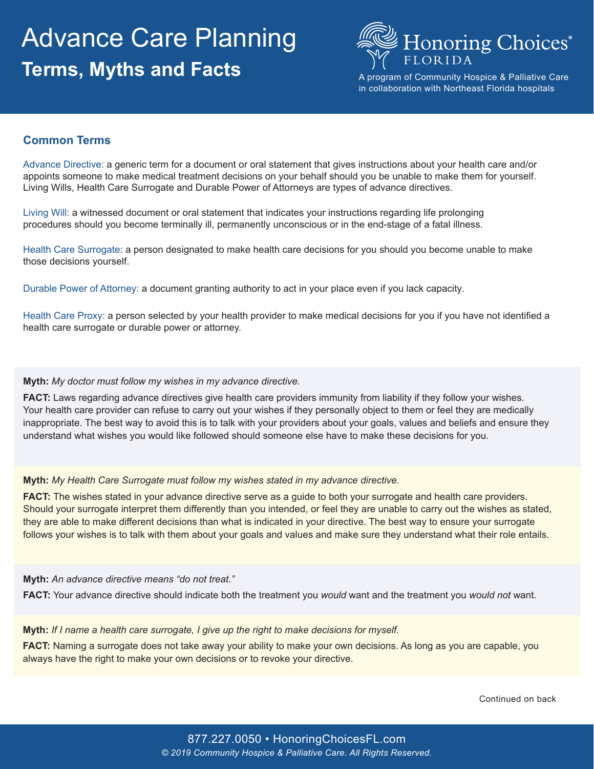# Advance Care Planning **Terms, Myths and Facts**



A program of Community Hospice & Palliative Care in collaboration with Northeast Florida hospitals

## **Common Terms**

Advance Directive: a generic term for a document or oral statement that gives instructions about your health care and/or appoints someone to make medical treatment decisions on your behalf should you be unable to make them for yourself. Living Wills, Health Care Surrogate and Durable Power of Attorneys are types of advance directives.

Living Will: a witnessed document or oral statement that indicates your instructions regarding life prolonging procedures should you become terminally ill, permanently unconscious or in the end-stage of a fatal illness.

Health Care Surrogate: a person designated to make health care decisions for you should you become unable to make those decisions yourself.

Durable Power of Attorney: a document granting authority to act in your place even if you lack capacity.

Health Care Proxy: a person selected by your health provider to make medical decisions for you if you have not identified a health care surrogate or durable power or attorney.

## **Myth:** *My doctor must follow my wishes in my advance directive.*

**FACT:** Laws regarding advance directives give health care providers immunity from liability if they follow your wishes. Your health care provider can refuse to carry out your wishes if they personally object to them or feel they are medically inappropriate. The best way to avoid this is to talk with your providers about your goals, values and beliefs and ensure they understand what wishes you would like followed should someone else have to make these decisions for you.

### **Myth:** *My Health Care Surrogate must follow my wishes stated in my advance directive.*

**FACT:** The wishes stated in your advance directive serve as a guide to both your surrogate and health care providers. Should your surrogate interpret them differently than you intended, or feel they are unable to carry out the wishes as stated, they are able to make different decisions than what is indicated in your directive. The best way to ensure your surrogate follows your wishes is to talk with them about your goals and values and make sure they understand what their role entails.

### **Myth:** *An advance directive means "do not treat."*

**FACT:** Your advance directive should indicate both the treatment you *would* want and the treatment you *would not* want.

### **Myth:** *If I name a health care surrogate, I give up the right to make decisions for myself.*

**FACT:** Naming a surrogate does not take away your ability to make your own decisions. As long as you are capable, you always have the right to make your own decisions or to revoke your directive.

Continued on back